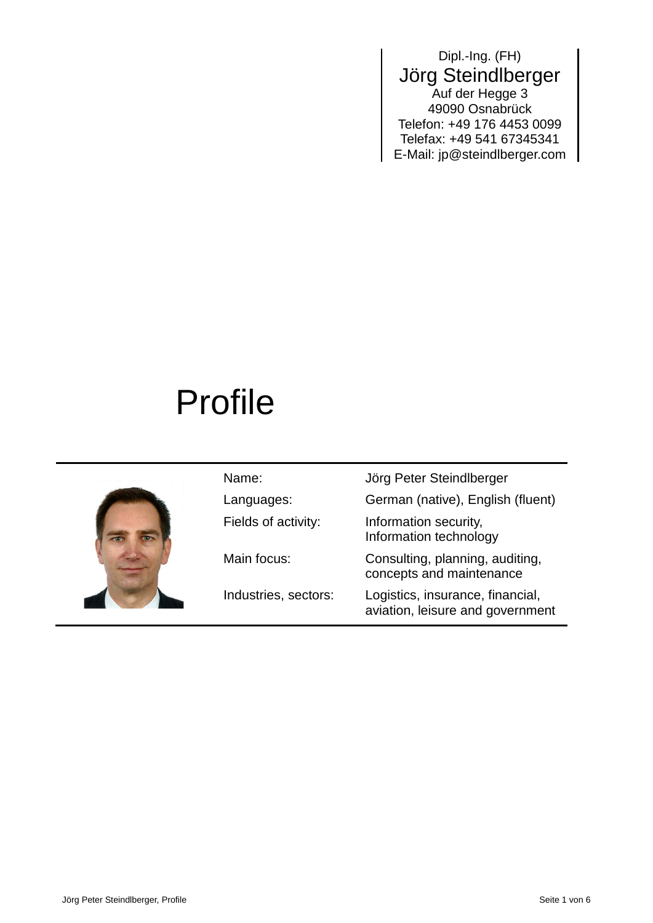### Dipl.-Ing. (FH) Jörg Steindlberger Auf der Hegge 3 49090 Osnabrück Telefon: +49 176 4453 0099 Telefax: +49 541 67345341 E-Mail: jp@steindlberger.com

# Profile



| Name:                | Jörg Peter Steindlberger                                             |
|----------------------|----------------------------------------------------------------------|
| Languages:           | German (native), English (fluent)                                    |
| Fields of activity:  | Information security,<br>Information technology                      |
| Main focus:          | Consulting, planning, auditing,<br>concepts and maintenance          |
| Industries, sectors: | Logistics, insurance, financial,<br>aviation, leisure and government |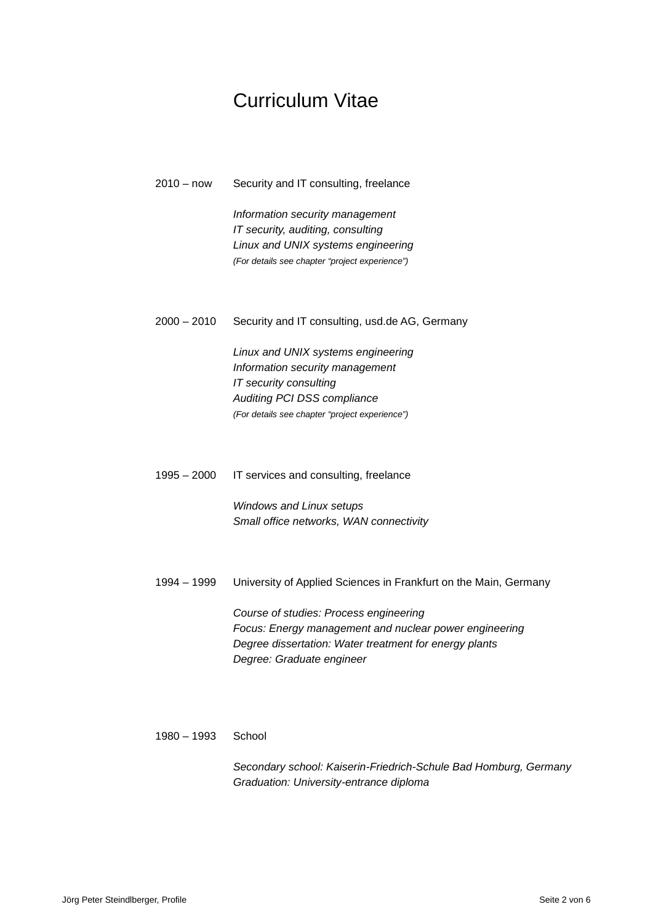### Curriculum Vitae

2010 – now Security and IT consulting, freelance

*Information security management IT security, auditing, consulting Linux and UNIX systems engineering (For details see chapter "project experience")*

2000 – 2010 Security and IT consulting, usd.de AG, Germany

*Linux and UNIX systems engineering Information security management IT security consulting Auditing PCI DSS compliance (For details see chapter "project experience")*

1995 – 2000 IT services and consulting, freelance

*Windows and Linux setups Small office networks, WAN connectivity*

1994 – 1999 University of Applied Sciences in Frankfurt on the Main, Germany

*Course of studies: Process engineering Focus: Energy management and nuclear power engineering Degree dissertation: Water treatment for energy plants Degree: Graduate engineer*

#### 1980 – 1993 School

*Secondary school: Kaiserin-Friedrich-Schule Bad Homburg, Germany Graduation: University-entrance diploma*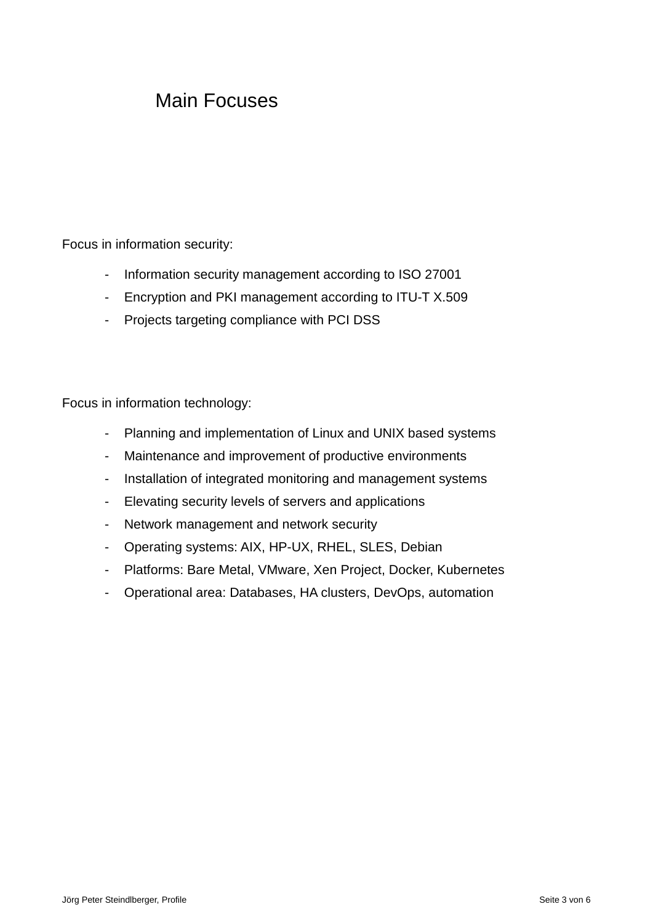### Main Focuses

Focus in information security:

- Information security management according to ISO 27001
- Encryption and PKI management according to ITU-T X.509
- Projects targeting compliance with PCI DSS

Focus in information technology:

- Planning and implementation of Linux and UNIX based systems
- Maintenance and improvement of productive environments
- Installation of integrated monitoring and management systems
- Elevating security levels of servers and applications
- Network management and network security
- Operating systems: AIX, HP-UX, RHEL, SLES, Debian
- Platforms: Bare Metal, VMware, Xen Project, Docker, Kubernetes
- Operational area: Databases, HA clusters, DevOps, automation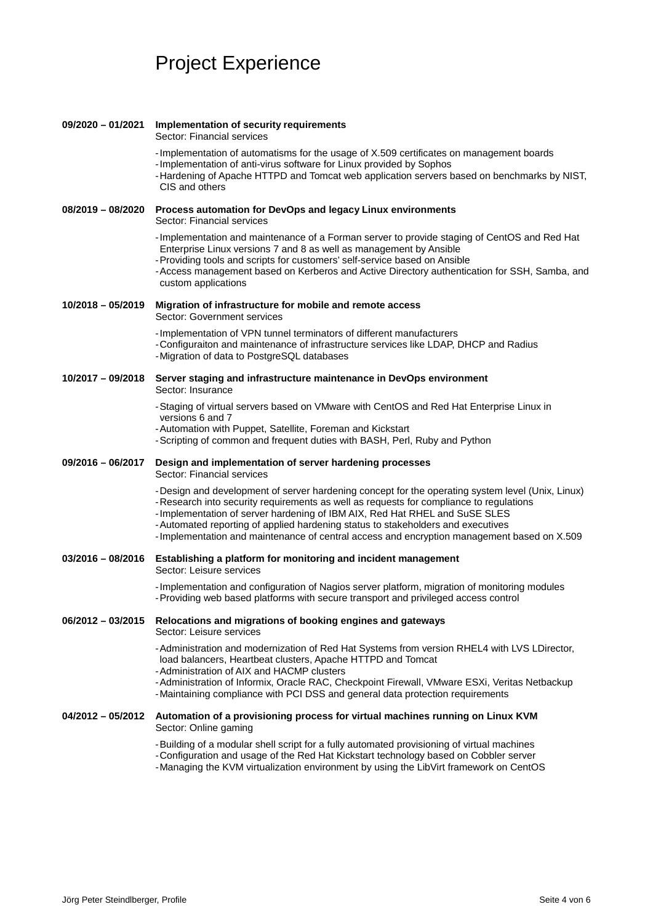## Project Experience

| 09/2020 - 01/2021   | Implementation of security requirements<br>Sector: Financial services                                                                                                                                                                                                                                                                                                                                                                                      |
|---------------------|------------------------------------------------------------------------------------------------------------------------------------------------------------------------------------------------------------------------------------------------------------------------------------------------------------------------------------------------------------------------------------------------------------------------------------------------------------|
|                     | -Implementation of automatisms for the usage of X.509 certificates on management boards<br>-Implementation of anti-virus software for Linux provided by Sophos<br>-Hardening of Apache HTTPD and Tomcat web application servers based on benchmarks by NIST,<br>CIS and others                                                                                                                                                                             |
| $08/2019 - 08/2020$ | Process automation for DevOps and legacy Linux environments<br>Sector: Financial services                                                                                                                                                                                                                                                                                                                                                                  |
|                     | -Implementation and maintenance of a Forman server to provide staging of CentOS and Red Hat<br>Enterprise Linux versions 7 and 8 as well as management by Ansible<br>-Providing tools and scripts for customers' self-service based on Ansible<br>- Access management based on Kerberos and Active Directory authentication for SSH, Samba, and<br>custom applications                                                                                     |
| $10/2018 - 05/2019$ | Migration of infrastructure for mobile and remote access<br>Sector: Government services                                                                                                                                                                                                                                                                                                                                                                    |
|                     | -Implementation of VPN tunnel terminators of different manufacturers<br>-Configuraiton and maintenance of infrastructure services like LDAP, DHCP and Radius<br>-Migration of data to PostgreSQL databases                                                                                                                                                                                                                                                 |
|                     | 10/2017 - 09/2018 Server staging and infrastructure maintenance in DevOps environment<br>Sector: Insurance                                                                                                                                                                                                                                                                                                                                                 |
|                     | -Staging of virtual servers based on VMware with CentOS and Red Hat Enterprise Linux in<br>versions 6 and 7                                                                                                                                                                                                                                                                                                                                                |
|                     | -Automation with Puppet, Satellite, Foreman and Kickstart<br>-Scripting of common and frequent duties with BASH, Perl, Ruby and Python                                                                                                                                                                                                                                                                                                                     |
| 09/2016 - 06/2017   | Design and implementation of server hardening processes<br>Sector: Financial services                                                                                                                                                                                                                                                                                                                                                                      |
|                     | -Design and development of server hardening concept for the operating system level (Unix, Linux)<br>-Research into security requirements as well as requests for compliance to regulations<br>-Implementation of server hardening of IBM AIX, Red Hat RHEL and SuSE SLES<br>- Automated reporting of applied hardening status to stakeholders and executives<br>-Implementation and maintenance of central access and encryption management based on X.509 |
|                     | 03/2016 - 08/2016 Establishing a platform for monitoring and incident management<br>Sector: Leisure services                                                                                                                                                                                                                                                                                                                                               |
|                     | -Implementation and configuration of Nagios server platform, migration of monitoring modules<br>-Providing web based platforms with secure transport and privileged access control                                                                                                                                                                                                                                                                         |
|                     | 06/2012 - 03/2015 Relocations and migrations of booking engines and gateways<br>Sector: Leisure services                                                                                                                                                                                                                                                                                                                                                   |
|                     | -Administration and modernization of Red Hat Systems from version RHEL4 with LVS LDirector,<br>load balancers, Heartbeat clusters, Apache HTTPD and Tomcat<br>- Administration of AIX and HACMP clusters<br>-Administration of Informix, Oracle RAC, Checkpoint Firewall, VMware ESXi, Veritas Netbackup<br>-Maintaining compliance with PCI DSS and general data protection requirements                                                                  |
| $04/2012 - 05/2012$ | Automation of a provisioning process for virtual machines running on Linux KVM                                                                                                                                                                                                                                                                                                                                                                             |
|                     |                                                                                                                                                                                                                                                                                                                                                                                                                                                            |
|                     | Sector: Online gaming<br>-Building of a modular shell script for a fully automated provisioning of virtual machines<br>-Configuration and usage of the Red Hat Kickstart technology based on Cobbler server<br>-Managing the KVM virtualization environment by using the LibVirt framework on CentOS                                                                                                                                                       |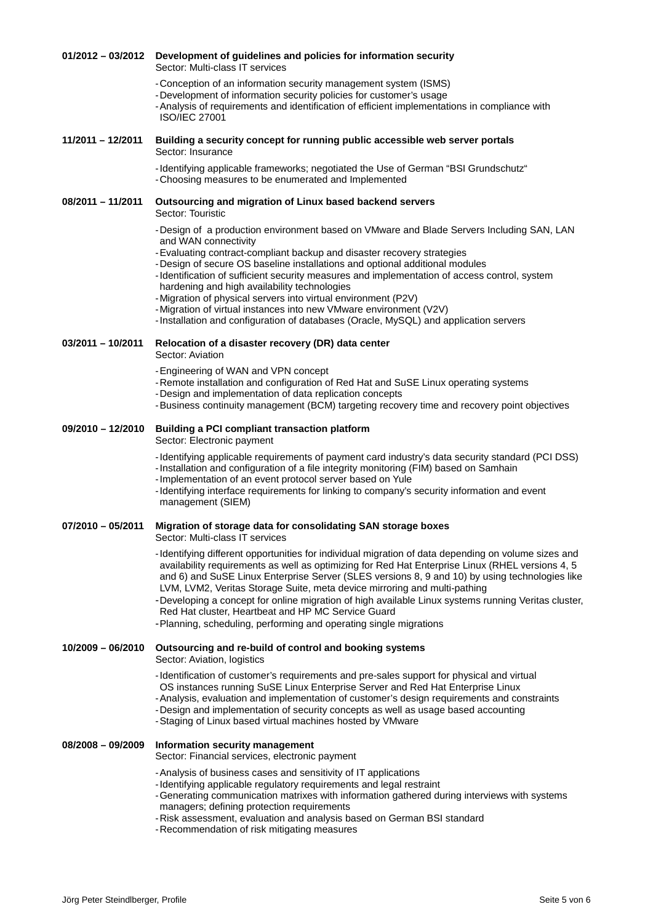#### **01/2012 – 03/2012 Development of guidelines and policies for information security** Sector: Multi-class IT services

- -Conception of an information security management system (ISMS)
- -Development of information security policies for customer's usage

-Analysis of requirements and identification of efficient implementations in compliance with ISO/IEC 27001

#### **11/2011 – 12/2011 Building a security concept for running public accessible web server portals** Sector: Insurance

-Identifying applicable frameworks; negotiated the Use of German "BSI Grundschutz" -Choosing measures to be enumerated and Implemented

**08/2011 – 11/2011 Outsourcing and migration of Linux based backend servers**

- Sector: Touristic
- -Design of a production environment based on VMware and Blade Servers Including SAN, LAN and WAN connectivity
- -Evaluating contract-compliant backup and disaster recovery strategies
- -Design of secure OS baseline installations and optional additional modules
- -Identification of sufficient security measures and implementation of access control, system hardening and high availability technologies
- -Migration of physical servers into virtual environment (P2V)
- -Migration of virtual instances into new VMware environment (V2V)
- -Installation and configuration of databases (Oracle, MySQL) and application servers

#### **03/2011 – 10/2011 Relocation of a disaster recovery (DR) data center** Sector: Aviation

- 
- -Engineering of WAN and VPN concept
- -Remote installation and configuration of Red Hat and SuSE Linux operating systems
- -Design and implementation of data replication concepts
- -Business continuity management (BCM) targeting recovery time and recovery point objectives

#### **09/2010 – 12/2010 Building a PCI compliant transaction platform**

Sector: Electronic payment

- -Identifying applicable requirements of payment card industry's data security standard (PCI DSS)
- -Installation and configuration of a file integrity monitoring (FIM) based on Samhain -Implementation of an event protocol server based on Yule
- -Identifying interface requirements for linking to company's security information and event management (SIEM)

#### **07/2010 – 05/2011 Migration of storage data for consolidating SAN storage boxes**

Sector: Multi-class IT services

- -Identifying different opportunities for individual migration of data depending on volume sizes and availability requirements as well as optimizing for Red Hat Enterprise Linux (RHEL versions 4, 5 and 6) and SuSE Linux Enterprise Server (SLES versions 8, 9 and 10) by using technologies like LVM, LVM2, Veritas Storage Suite, meta device mirroring and multi-pathing
- -Developing a concept for online migration of high available Linux systems running Veritas cluster, Red Hat cluster, Heartbeat and HP MC Service Guard
- -Planning, scheduling, performing and operating single migrations

#### **10/2009 – 06/2010 Outsourcing and re-build of control and booking systems**

Sector: Aviation, logistics

- -Identification of customer's requirements and pre-sales support for physical and virtual OS instances running SuSE Linux Enterprise Server and Red Hat Enterprise Linux
- -Analysis, evaluation and implementation of customer's design requirements and constraints
- -Design and implementation of security concepts as well as usage based accounting
- -Staging of Linux based virtual machines hosted by VMware

#### **08/2008 – 09/2009 Information security management**

Sector: Financial services, electronic payment

- -Analysis of business cases and sensitivity of IT applications
- -Identifying applicable regulatory requirements and legal restraint
- -Generating communication matrixes with information gathered during interviews with systems managers; defining protection requirements
- -Risk assessment, evaluation and analysis based on German BSI standard
- -Recommendation of risk mitigating measures